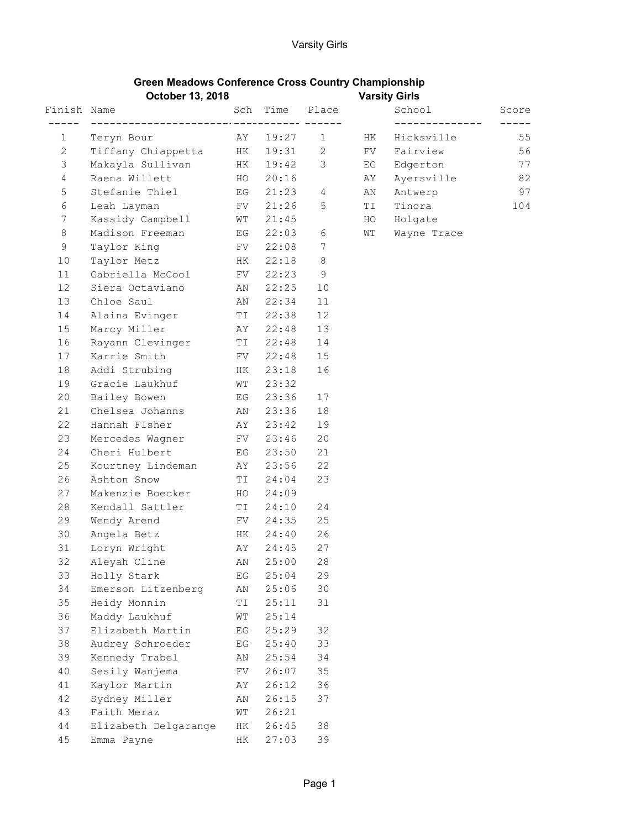## Green Meadows Conference Cross Country Championship

|                | October 13, 2018     |     |                        |         |    | <b>Varsity Girls</b> |       |
|----------------|----------------------|-----|------------------------|---------|----|----------------------|-------|
| Finish Name    |                      | Sch | Time                   | Place   |    | School               | Score |
| 1              | Teryn Bour           | AY  | _____________<br>19:27 | 1       | HК | Hicksville           | 55    |
| $\overline{c}$ | Tiffany Chiappetta   | HK  | 19:31                  | 2       | FV | Fairview             | 56    |
| 3              | Makayla Sullivan     | ΗK  | 19:42                  | 3       | ΕG | Edgerton             | 77    |
| $\overline{4}$ | Raena Willett        | HO  | 20:16                  |         | AΥ | Ayersville           | 82    |
| 5              | Stefanie Thiel       | EG  | 21:23                  | 4       | ΑN | Antwerp              | 97    |
| 6              | Leah Layman          | FV  | 21:26                  | 5       | ΤI | Tinora               | 104   |
| 7              | Kassidy Campbell     | WТ  | 21:45                  |         | HO | Holgate              |       |
| 8              | Madison Freeman      | EG  | 22:03                  | 6       | WΤ | Wayne Trace          |       |
| 9              | Taylor King          | FV  | 22:08                  | 7       |    |                      |       |
| 10             | Taylor Metz          | НK  | 22:18                  | $\,8\,$ |    |                      |       |
| 11             | Gabriella McCool     | FV  | 22:23                  | 9       |    |                      |       |
| 12             | Siera Octaviano      | ΑN  | 22:25                  | 10      |    |                      |       |
| 13             | Chloe Saul           | AN  | 22:34                  | 11      |    |                      |       |
| 14             | Alaina Evinger       | TI  | 22:38                  | 12      |    |                      |       |
| 15             | Marcy Miller         | AY  | 22:48                  | 13      |    |                      |       |
| 16             | Rayann Clevinger     | TI  | 22:48                  | 14      |    |                      |       |
| 17             | Karrie Smith         | FV  | 22:48                  | 15      |    |                      |       |
| 18             | Addi Strubing        | HK  | 23:18                  | 16      |    |                      |       |
| 19             | Gracie Laukhuf       | WТ  | 23:32                  |         |    |                      |       |
| 20             | Bailey Bowen         | ΕG  | 23:36                  | 17      |    |                      |       |
| 21             | Chelsea Johanns      | ΑN  | 23:36                  | 18      |    |                      |       |
| 22             | Hannah FIsher        | AΥ  | 23:42                  | 19      |    |                      |       |
| 23             | Mercedes Wagner      | FV  | 23:46                  | 20      |    |                      |       |
| 24             | Cheri Hulbert        | ΕG  | 23:50                  | 21      |    |                      |       |
| 25             | Kourtney Lindeman    | ΑY  | 23:56                  | 22      |    |                      |       |
| 26             | Ashton Snow          | TI  | 24:04                  | 23      |    |                      |       |
| 27             | Makenzie Boecker     | HO  | 24:09                  |         |    |                      |       |
| 28             | Kendall Sattler      | ΤI  | 24:10                  | 24      |    |                      |       |
| 29             | Wendy Arend          | FV  | 24:35                  | 25      |    |                      |       |
| 30             | Angela Betz          | HK  | 24:40                  | 26      |    |                      |       |
| 31             | Loryn Wright         | ΆY  | 24:45                  | 27      |    |                      |       |
| 32             | Aleyah Cline         | AN  | 25:00                  | 28      |    |                      |       |
| 33             | Holly Stark          | ΕG  | 25:04                  | 29      |    |                      |       |
| 34             | Emerson Litzenberg   | AN  | 25:06                  | 30      |    |                      |       |
| 35             | Heidy Monnin         | ΤI  | 25:11                  | 31      |    |                      |       |
| 36             | Maddy Laukhuf        | WΤ  | 25:14                  |         |    |                      |       |
| 37             | Elizabeth Martin     | ΕG  | 25:29                  | 32      |    |                      |       |
| 38             | Audrey Schroeder     | ΕG  | 25:40                  | 33      |    |                      |       |
| 39             | Kennedy Trabel       | ΑN  | 25:54                  | 34      |    |                      |       |
| 40             | Sesily Wanjema       | FV  | 26:07                  | 35      |    |                      |       |
| 41             | Kaylor Martin        | ΑY  | 26:12                  | 36      |    |                      |       |
| 42             | Sydney Miller        | ΑN  | 26:15                  | 37      |    |                      |       |
| 43             | Faith Meraz          | WΤ  | 26:21                  |         |    |                      |       |
| $4\,4$         | Elizabeth Delgarange | HК  | 26:45                  | 38      |    |                      |       |
| 45             | Emma Payne           | HК  | 27:03                  | 39      |    |                      |       |